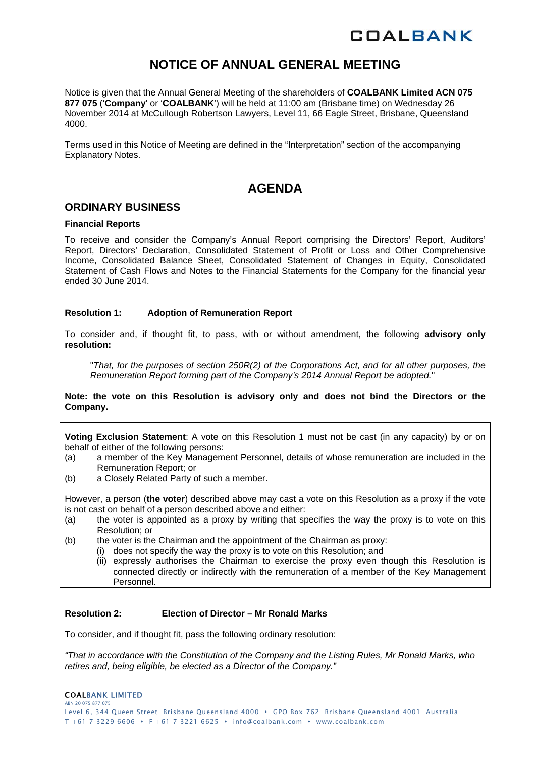# **COALBANK**

# **NOTICE OF ANNUAL GENERAL MEETING**

Notice is given that the Annual General Meeting of the shareholders of **COALBANK Limited ACN 075 877 075** ('**Company**' or '**COALBANK**') will be held at 11:00 am (Brisbane time) on Wednesday 26 November 2014 at McCullough Robertson Lawyers, Level 11, 66 Eagle Street, Brisbane, Queensland 4000.

Terms used in this Notice of Meeting are defined in the "Interpretation" section of the accompanying Explanatory Notes.

# **AGENDA**

# **ORDINARY BUSINESS**

#### **Financial Reports**

To receive and consider the Company's Annual Report comprising the Directors' Report, Auditors' Report, Directors' Declaration, Consolidated Statement of Profit or Loss and Other Comprehensive Income, Consolidated Balance Sheet, Consolidated Statement of Changes in Equity, Consolidated Statement of Cash Flows and Notes to the Financial Statements for the Company for the financial year ended 30 June 2014.

#### **Resolution 1: Adoption of Remuneration Report**

To consider and, if thought fit, to pass, with or without amendment, the following **advisory only resolution:** 

"*That, for the purposes of section 250R(2) of the Corporations Act, and for all other purposes, the Remuneration Report forming part of the Company's 2014 Annual Report be adopted.*"

**Note: the vote on this Resolution is advisory only and does not bind the Directors or the Company.** 

**Voting Exclusion Statement**: A vote on this Resolution 1 must not be cast (in any capacity) by or on behalf of either of the following persons:

- (a) a member of the Key Management Personnel, details of whose remuneration are included in the Remuneration Report; or
- (b) a Closely Related Party of such a member.

However, a person (**the voter**) described above may cast a vote on this Resolution as a proxy if the vote is not cast on behalf of a person described above and either:

- (a) the voter is appointed as a proxy by writing that specifies the way the proxy is to vote on this Resolution; or
- (b) the voter is the Chairman and the appointment of the Chairman as proxy:
	- (i) does not specify the way the proxy is to vote on this Resolution; and
		- (ii) expressly authorises the Chairman to exercise the proxy even though this Resolution is connected directly or indirectly with the remuneration of a member of the Key Management Personnel.

#### **Resolution 2: Election of Director – Mr Ronald Marks**

To consider, and if thought fit, pass the following ordinary resolution:

*"That in accordance with the Constitution of the Company and the Listing Rules, Mr Ronald Marks, who retires and, being eligible, be elected as a Director of the Company."*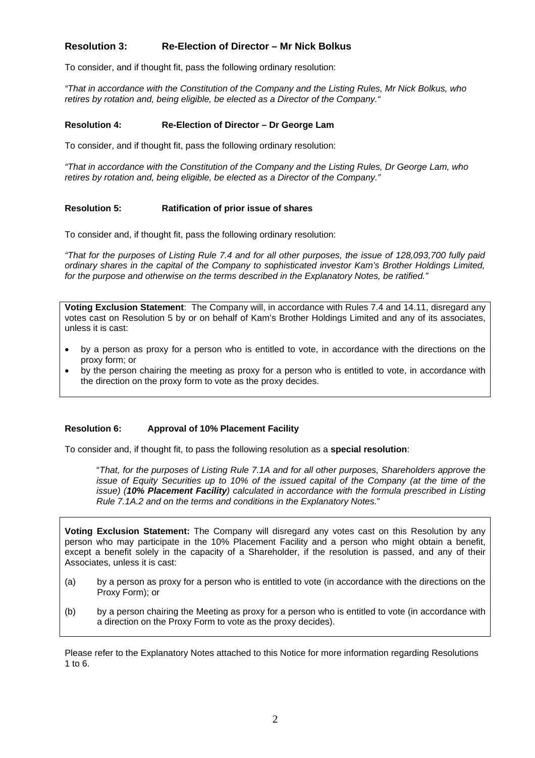# **Resolution 3: Re-Election of Director – Mr Nick Bolkus**

To consider, and if thought fit, pass the following ordinary resolution:

*"That in accordance with the Constitution of the Company and the Listing Rules, Mr Nick Bolkus, who retires by rotation and, being eligible, be elected as a Director of the Company."* 

#### **Resolution 4: Re-Election of Director – Dr George Lam**

To consider, and if thought fit, pass the following ordinary resolution:

*"That in accordance with the Constitution of the Company and the Listing Rules, Dr George Lam, who retires by rotation and, being eligible, be elected as a Director of the Company."* 

#### **Resolution 5: Ratification of prior issue of shares**

To consider and, if thought fit, pass the following ordinary resolution:

*"That for the purposes of Listing Rule 7.4 and for all other purposes, the issue of 128,093,700 fully paid ordinary shares in the capital of the Company to sophisticated investor Kam's Brother Holdings Limited, for the purpose and otherwise on the terms described in the Explanatory Notes, be ratified."* 

**Voting Exclusion Statement**:The Company will, in accordance with Rules 7.4 and 14.11, disregard any votes cast on Resolution 5 by or on behalf of Kam's Brother Holdings Limited and any of its associates, unless it is cast:

- by a person as proxy for a person who is entitled to vote, in accordance with the directions on the proxy form; or
- by the person chairing the meeting as proxy for a person who is entitled to vote, in accordance with the direction on the proxy form to vote as the proxy decides.

#### **Resolution 6: Approval of 10% Placement Facility**

To consider and, if thought fit, to pass the following resolution as a **special resolution**:

"*That, for the purposes of Listing Rule 7.1A and for all other purposes, Shareholders approve the issue of Equity Securities up to 10% of the issued capital of the Company (at the time of the issue) (10% Placement Facility) calculated in accordance with the formula prescribed in Listing Rule 7.1A.2 and on the terms and conditions in the Explanatory Notes.*"

**Voting Exclusion Statement:** The Company will disregard any votes cast on this Resolution by any person who may participate in the 10% Placement Facility and a person who might obtain a benefit, except a benefit solely in the capacity of a Shareholder, if the resolution is passed, and any of their Associates, unless it is cast:

- (a) by a person as proxy for a person who is entitled to vote (in accordance with the directions on the Proxy Form); or
- (b) by a person chairing the Meeting as proxy for a person who is entitled to vote (in accordance with a direction on the Proxy Form to vote as the proxy decides).

Please refer to the Explanatory Notes attached to this Notice for more information regarding Resolutions 1 to 6.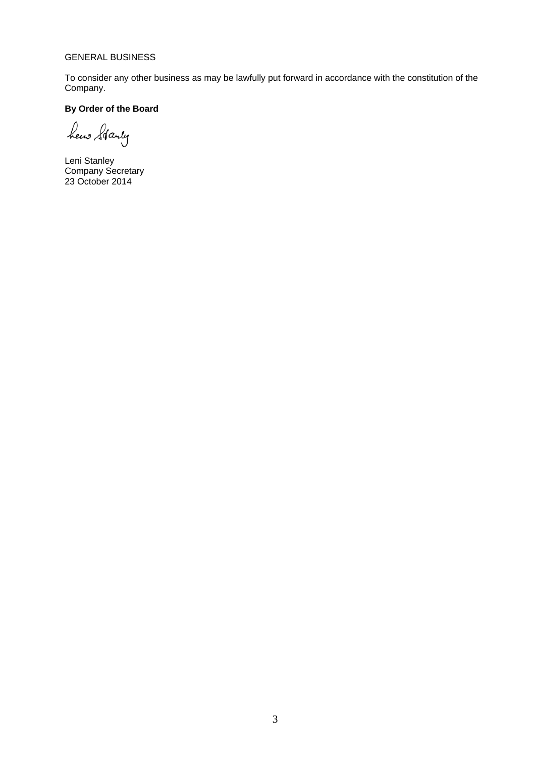# GENERAL BUSINESS

To consider any other business as may be lawfully put forward in accordance with the constitution of the Company.

# **By Order of the Board**

hew Starty

Leni Stanley Company Secretary 23 October 2014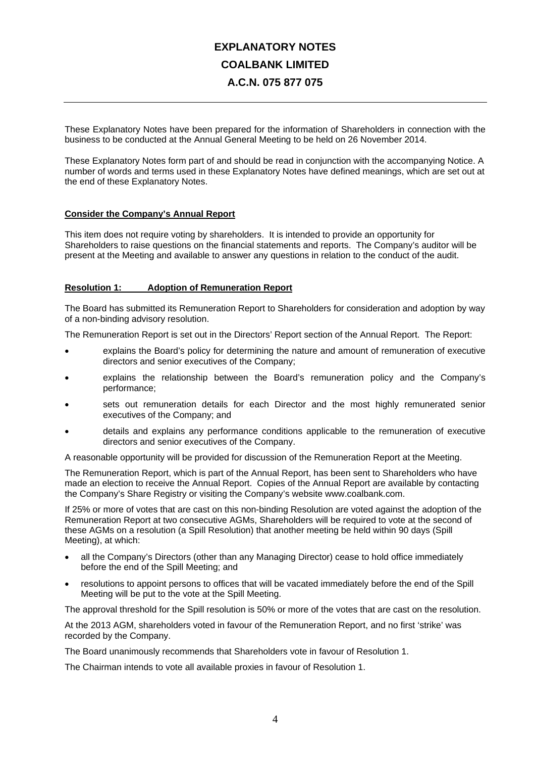# **EXPLANATORY NOTES COALBANK LIMITED A.C.N. 075 877 075**

These Explanatory Notes have been prepared for the information of Shareholders in connection with the business to be conducted at the Annual General Meeting to be held on 26 November 2014.

These Explanatory Notes form part of and should be read in conjunction with the accompanying Notice. A number of words and terms used in these Explanatory Notes have defined meanings, which are set out at the end of these Explanatory Notes.

## **Consider the Company's Annual Report**

This item does not require voting by shareholders. It is intended to provide an opportunity for Shareholders to raise questions on the financial statements and reports. The Company's auditor will be present at the Meeting and available to answer any questions in relation to the conduct of the audit.

## **Resolution 1: Adoption of Remuneration Report**

The Board has submitted its Remuneration Report to Shareholders for consideration and adoption by way of a non-binding advisory resolution.

The Remuneration Report is set out in the Directors' Report section of the Annual Report. The Report:

- explains the Board's policy for determining the nature and amount of remuneration of executive directors and senior executives of the Company;
- explains the relationship between the Board's remuneration policy and the Company's performance;
- sets out remuneration details for each Director and the most highly remunerated senior executives of the Company; and
- details and explains any performance conditions applicable to the remuneration of executive directors and senior executives of the Company.

A reasonable opportunity will be provided for discussion of the Remuneration Report at the Meeting.

The Remuneration Report, which is part of the Annual Report, has been sent to Shareholders who have made an election to receive the Annual Report. Copies of the Annual Report are available by contacting the Company's Share Registry or visiting the Company's website www.coalbank.com.

If 25% or more of votes that are cast on this non-binding Resolution are voted against the adoption of the Remuneration Report at two consecutive AGMs, Shareholders will be required to vote at the second of these AGMs on a resolution (a Spill Resolution) that another meeting be held within 90 days (Spill Meeting), at which:

- all the Company's Directors (other than any Managing Director) cease to hold office immediately before the end of the Spill Meeting; and
- resolutions to appoint persons to offices that will be vacated immediately before the end of the Spill Meeting will be put to the vote at the Spill Meeting.

The approval threshold for the Spill resolution is 50% or more of the votes that are cast on the resolution.

At the 2013 AGM, shareholders voted in favour of the Remuneration Report, and no first 'strike' was recorded by the Company.

The Board unanimously recommends that Shareholders vote in favour of Resolution 1.

The Chairman intends to vote all available proxies in favour of Resolution 1.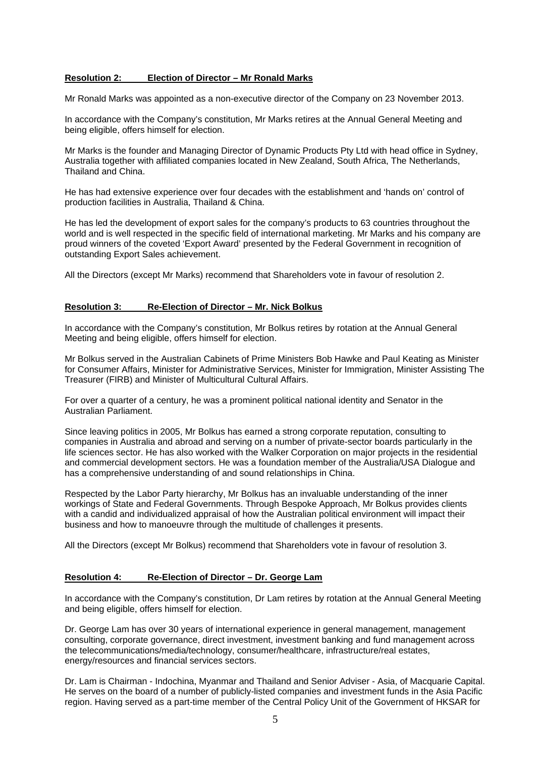## **Resolution 2: Election of Director – Mr Ronald Marks**

Mr Ronald Marks was appointed as a non-executive director of the Company on 23 November 2013.

In accordance with the Company's constitution, Mr Marks retires at the Annual General Meeting and being eligible, offers himself for election.

Mr Marks is the founder and Managing Director of Dynamic Products Pty Ltd with head office in Sydney, Australia together with affiliated companies located in New Zealand, South Africa, The Netherlands, Thailand and China.

He has had extensive experience over four decades with the establishment and 'hands on' control of production facilities in Australia, Thailand & China.

He has led the development of export sales for the company's products to 63 countries throughout the world and is well respected in the specific field of international marketing. Mr Marks and his company are proud winners of the coveted 'Export Award' presented by the Federal Government in recognition of outstanding Export Sales achievement.

All the Directors (except Mr Marks) recommend that Shareholders vote in favour of resolution 2.

#### **Resolution 3: Re-Election of Director – Mr. Nick Bolkus**

In accordance with the Company's constitution, Mr Bolkus retires by rotation at the Annual General Meeting and being eligible, offers himself for election.

Mr Bolkus served in the Australian Cabinets of Prime Ministers Bob Hawke and Paul Keating as Minister for Consumer Affairs, Minister for Administrative Services, Minister for Immigration, Minister Assisting The Treasurer (FIRB) and Minister of Multicultural Cultural Affairs.

For over a quarter of a century, he was a prominent political national identity and Senator in the Australian Parliament.

Since leaving politics in 2005, Mr Bolkus has earned a strong corporate reputation, consulting to companies in Australia and abroad and serving on a number of private-sector boards particularly in the life sciences sector. He has also worked with the Walker Corporation on major projects in the residential and commercial development sectors. He was a foundation member of the Australia/USA Dialogue and has a comprehensive understanding of and sound relationships in China.

Respected by the Labor Party hierarchy, Mr Bolkus has an invaluable understanding of the inner workings of State and Federal Governments. Through Bespoke Approach, Mr Bolkus provides clients with a candid and individualized appraisal of how the Australian political environment will impact their business and how to manoeuvre through the multitude of challenges it presents.

All the Directors (except Mr Bolkus) recommend that Shareholders vote in favour of resolution 3.

#### **Resolution 4: Re-Election of Director – Dr. George Lam**

In accordance with the Company's constitution, Dr Lam retires by rotation at the Annual General Meeting and being eligible, offers himself for election.

Dr. George Lam has over 30 years of international experience in general management, management consulting, corporate governance, direct investment, investment banking and fund management across the telecommunications/media/technology, consumer/healthcare, infrastructure/real estates, energy/resources and financial services sectors.

Dr. Lam is Chairman - Indochina, Myanmar and Thailand and Senior Adviser - Asia, of Macquarie Capital. He serves on the board of a number of publicly-listed companies and investment funds in the Asia Pacific region. Having served as a part-time member of the Central Policy Unit of the Government of HKSAR for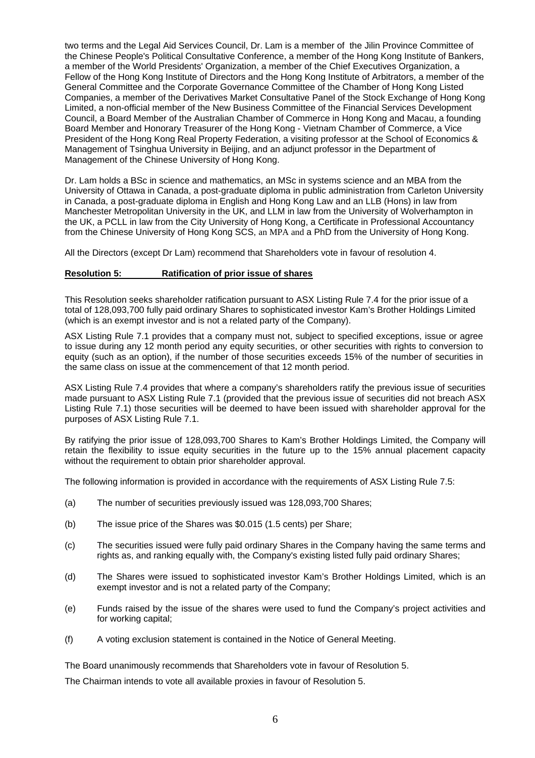two terms and the Legal Aid Services Council, Dr. Lam is a member of the Jilin Province Committee of the Chinese People's Political Consultative Conference, a member of the Hong Kong Institute of Bankers, a member of the World Presidents' Organization, a member of the Chief Executives Organization, a Fellow of the Hong Kong Institute of Directors and the Hong Kong Institute of Arbitrators, a member of the General Committee and the Corporate Governance Committee of the Chamber of Hong Kong Listed Companies, a member of the Derivatives Market Consultative Panel of the Stock Exchange of Hong Kong Limited, a non-official member of the New Business Committee of the Financial Services Development Council, a Board Member of the Australian Chamber of Commerce in Hong Kong and Macau, a founding Board Member and Honorary Treasurer of the Hong Kong - Vietnam Chamber of Commerce, a Vice President of the Hong Kong Real Property Federation, a visiting professor at the School of Economics & Management of Tsinghua University in Beijing, and an adjunct professor in the Department of Management of the Chinese University of Hong Kong.

Dr. Lam holds a BSc in science and mathematics, an MSc in systems science and an MBA from the University of Ottawa in Canada, a post-graduate diploma in public administration from Carleton University in Canada, a post-graduate diploma in English and Hong Kong Law and an LLB (Hons) in law from Manchester Metropolitan University in the UK, and LLM in law from the University of Wolverhampton in the UK, a PCLL in law from the City University of Hong Kong, a Certificate in Professional Accountancy from the Chinese University of Hong Kong SCS, an MPA and a PhD from the University of Hong Kong.

All the Directors (except Dr Lam) recommend that Shareholders vote in favour of resolution 4.

#### **Resolution 5: Ratification of prior issue of shares**

This Resolution seeks shareholder ratification pursuant to ASX Listing Rule 7.4 for the prior issue of a total of 128,093,700 fully paid ordinary Shares to sophisticated investor Kam's Brother Holdings Limited (which is an exempt investor and is not a related party of the Company).

ASX Listing Rule 7.1 provides that a company must not, subject to specified exceptions, issue or agree to issue during any 12 month period any equity securities, or other securities with rights to conversion to equity (such as an option), if the number of those securities exceeds 15% of the number of securities in the same class on issue at the commencement of that 12 month period.

ASX Listing Rule 7.4 provides that where a company's shareholders ratify the previous issue of securities made pursuant to ASX Listing Rule 7.1 (provided that the previous issue of securities did not breach ASX Listing Rule 7.1) those securities will be deemed to have been issued with shareholder approval for the purposes of ASX Listing Rule 7.1.

By ratifying the prior issue of 128,093,700 Shares to Kam's Brother Holdings Limited, the Company will retain the flexibility to issue equity securities in the future up to the 15% annual placement capacity without the requirement to obtain prior shareholder approval.

The following information is provided in accordance with the requirements of ASX Listing Rule 7.5:

- (a) The number of securities previously issued was 128,093,700 Shares;
- (b) The issue price of the Shares was \$0.015 (1.5 cents) per Share;
- (c) The securities issued were fully paid ordinary Shares in the Company having the same terms and rights as, and ranking equally with, the Company's existing listed fully paid ordinary Shares;
- (d) The Shares were issued to sophisticated investor Kam's Brother Holdings Limited, which is an exempt investor and is not a related party of the Company;
- (e) Funds raised by the issue of the shares were used to fund the Company's project activities and for working capital;
- (f) A voting exclusion statement is contained in the Notice of General Meeting.

The Board unanimously recommends that Shareholders vote in favour of Resolution 5.

The Chairman intends to vote all available proxies in favour of Resolution 5.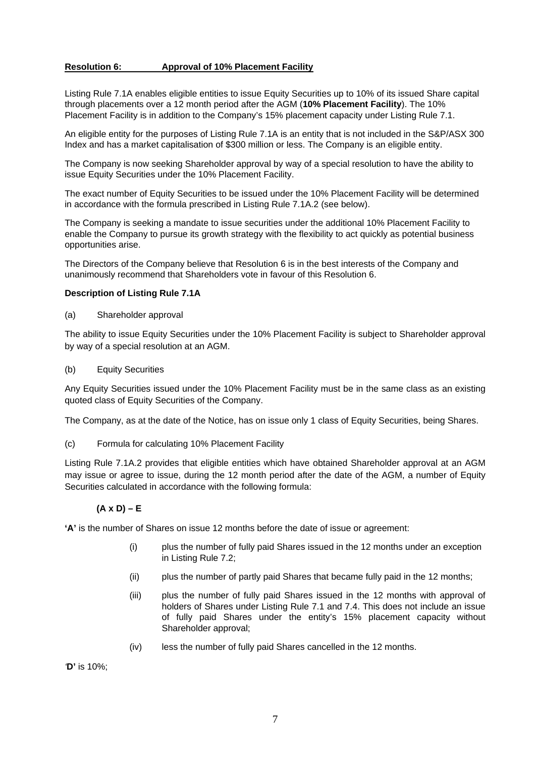## **Resolution 6: Approval of 10% Placement Facility**

Listing Rule 7.1A enables eligible entities to issue Equity Securities up to 10% of its issued Share capital through placements over a 12 month period after the AGM (**10% Placement Facility**). The 10% Placement Facility is in addition to the Company's 15% placement capacity under Listing Rule 7.1.

An eligible entity for the purposes of Listing Rule 7.1A is an entity that is not included in the S&P/ASX 300 Index and has a market capitalisation of \$300 million or less. The Company is an eligible entity.

The Company is now seeking Shareholder approval by way of a special resolution to have the ability to issue Equity Securities under the 10% Placement Facility.

The exact number of Equity Securities to be issued under the 10% Placement Facility will be determined in accordance with the formula prescribed in Listing Rule 7.1A.2 (see below).

The Company is seeking a mandate to issue securities under the additional 10% Placement Facility to enable the Company to pursue its growth strategy with the flexibility to act quickly as potential business opportunities arise.

The Directors of the Company believe that Resolution 6 is in the best interests of the Company and unanimously recommend that Shareholders vote in favour of this Resolution 6.

#### **Description of Listing Rule 7.1A**

(a) Shareholder approval

The ability to issue Equity Securities under the 10% Placement Facility is subject to Shareholder approval by way of a special resolution at an AGM.

(b) Equity Securities

Any Equity Securities issued under the 10% Placement Facility must be in the same class as an existing quoted class of Equity Securities of the Company.

The Company, as at the date of the Notice, has on issue only 1 class of Equity Securities, being Shares.

(c) Formula for calculating 10% Placement Facility

Listing Rule 7.1A.2 provides that eligible entities which have obtained Shareholder approval at an AGM may issue or agree to issue, during the 12 month period after the date of the AGM, a number of Equity Securities calculated in accordance with the following formula:

## **(A x D) – E**

**'A'** is the number of Shares on issue 12 months before the date of issue or agreement:

- (i) plus the number of fully paid Shares issued in the 12 months under an exception in Listing Rule 7.2;
- (ii) plus the number of partly paid Shares that became fully paid in the 12 months;
- (iii) plus the number of fully paid Shares issued in the 12 months with approval of holders of Shares under Listing Rule 7.1 and 7.4. This does not include an issue of fully paid Shares under the entity's 15% placement capacity without Shareholder approval;
- (iv) less the number of fully paid Shares cancelled in the 12 months.

*'***D'** is 10%;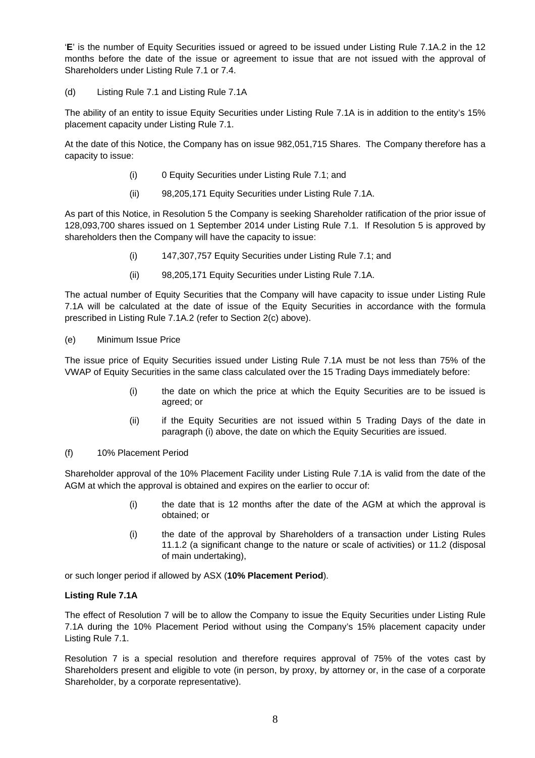'**E**' is the number of Equity Securities issued or agreed to be issued under Listing Rule 7.1A.2 in the 12 months before the date of the issue or agreement to issue that are not issued with the approval of Shareholders under Listing Rule 7.1 or 7.4.

(d) Listing Rule 7.1 and Listing Rule 7.1A

The ability of an entity to issue Equity Securities under Listing Rule 7.1A is in addition to the entity's 15% placement capacity under Listing Rule 7.1.

At the date of this Notice, the Company has on issue 982,051,715 Shares. The Company therefore has a capacity to issue:

- (i) 0 Equity Securities under Listing Rule 7.1; and
- (ii) 98,205,171 Equity Securities under Listing Rule 7.1A.

As part of this Notice, in Resolution 5 the Company is seeking Shareholder ratification of the prior issue of 128,093,700 shares issued on 1 September 2014 under Listing Rule 7.1. If Resolution 5 is approved by shareholders then the Company will have the capacity to issue:

- (i) 147,307,757 Equity Securities under Listing Rule 7.1; and
- (ii) 98,205,171 Equity Securities under Listing Rule 7.1A.

The actual number of Equity Securities that the Company will have capacity to issue under Listing Rule 7.1A will be calculated at the date of issue of the Equity Securities in accordance with the formula prescribed in Listing Rule 7.1A.2 (refer to Section 2(c) above).

## (e) Minimum Issue Price

The issue price of Equity Securities issued under Listing Rule 7.1A must be not less than 75% of the VWAP of Equity Securities in the same class calculated over the 15 Trading Days immediately before:

- (i) the date on which the price at which the Equity Securities are to be issued is agreed; or
- (ii) if the Equity Securities are not issued within 5 Trading Days of the date in paragraph (i) above, the date on which the Equity Securities are issued.
- (f) 10% Placement Period

Shareholder approval of the 10% Placement Facility under Listing Rule 7.1A is valid from the date of the AGM at which the approval is obtained and expires on the earlier to occur of:

- (i) the date that is 12 months after the date of the AGM at which the approval is obtained; or
- (i) the date of the approval by Shareholders of a transaction under Listing Rules 11.1.2 (a significant change to the nature or scale of activities) or 11.2 (disposal of main undertaking),

or such longer period if allowed by ASX (**10% Placement Period**).

## **Listing Rule 7.1A**

The effect of Resolution 7 will be to allow the Company to issue the Equity Securities under Listing Rule 7.1A during the 10% Placement Period without using the Company's 15% placement capacity under Listing Rule 7.1.

Resolution 7 is a special resolution and therefore requires approval of 75% of the votes cast by Shareholders present and eligible to vote (in person, by proxy, by attorney or, in the case of a corporate Shareholder, by a corporate representative).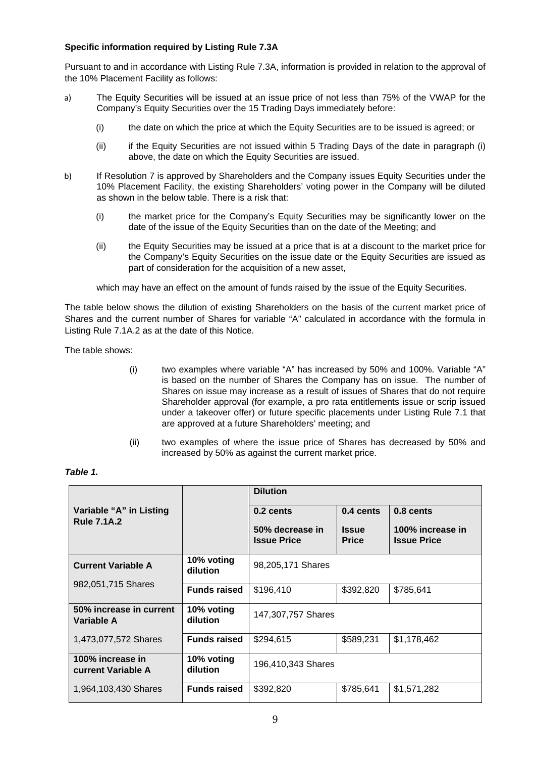## **Specific information required by Listing Rule 7.3A**

Pursuant to and in accordance with Listing Rule 7.3A, information is provided in relation to the approval of the 10% Placement Facility as follows:

- a) The Equity Securities will be issued at an issue price of not less than 75% of the VWAP for the Company's Equity Securities over the 15 Trading Days immediately before:
	- (i) the date on which the price at which the Equity Securities are to be issued is agreed; or
	- (ii) if the Equity Securities are not issued within 5 Trading Days of the date in paragraph (i) above, the date on which the Equity Securities are issued.
- b) If Resolution 7 is approved by Shareholders and the Company issues Equity Securities under the 10% Placement Facility, the existing Shareholders' voting power in the Company will be diluted as shown in the below table. There is a risk that:
	- (i) the market price for the Company's Equity Securities may be significantly lower on the date of the issue of the Equity Securities than on the date of the Meeting; and
	- (ii) the Equity Securities may be issued at a price that is at a discount to the market price for the Company's Equity Securities on the issue date or the Equity Securities are issued as part of consideration for the acquisition of a new asset,

which may have an effect on the amount of funds raised by the issue of the Equity Securities.

The table below shows the dilution of existing Shareholders on the basis of the current market price of Shares and the current number of Shares for variable "A" calculated in accordance with the formula in Listing Rule 7.1A.2 as at the date of this Notice.

The table shows:

- (i) two examples where variable "A" has increased by 50% and 100%. Variable "A" is based on the number of Shares the Company has on issue. The number of Shares on issue may increase as a result of issues of Shares that do not require Shareholder approval (for example, a pro rata entitlements issue or scrip issued under a takeover offer) or future specific placements under Listing Rule 7.1 that are approved at a future Shareholders' meeting; and
- (ii) two examples of where the issue price of Shares has decreased by 50% and increased by 50% as against the current market price.

|                                               |                        | <b>Dilution</b>                       |                              |                                        |
|-----------------------------------------------|------------------------|---------------------------------------|------------------------------|----------------------------------------|
| Variable "A" in Listing<br><b>Rule 7.1A.2</b> |                        | 0.2 cents                             | 0.4 cents                    | 0.8 cents                              |
|                                               |                        | 50% decrease in<br><b>Issue Price</b> | <b>Issue</b><br><b>Price</b> | 100% increase in<br><b>Issue Price</b> |
| <b>Current Variable A</b>                     | 10% voting<br>dilution | 98,205,171 Shares                     |                              |                                        |
| 982,051,715 Shares                            | <b>Funds raised</b>    | \$196,410                             | \$392,820                    | \$785,641                              |
| 50% increase in current<br>Variable A         | 10% voting<br>dilution | 147,307,757 Shares                    |                              |                                        |
| 1,473,077,572 Shares                          | <b>Funds raised</b>    | \$294,615                             | \$589,231                    | \$1,178,462                            |
| 100% increase in<br>current Variable A        | 10% voting<br>dilution | 196,410,343 Shares                    |                              |                                        |
| 1,964,103,430 Shares                          | <b>Funds raised</b>    | \$392,820                             | \$785,641                    | \$1,571,282                            |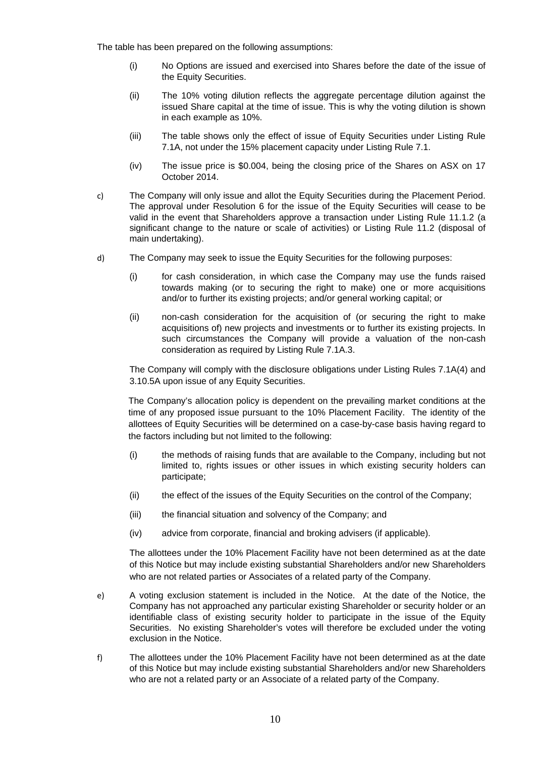The table has been prepared on the following assumptions:

- (i) No Options are issued and exercised into Shares before the date of the issue of the Equity Securities.
- (ii) The 10% voting dilution reflects the aggregate percentage dilution against the issued Share capital at the time of issue. This is why the voting dilution is shown in each example as 10%.
- (iii) The table shows only the effect of issue of Equity Securities under Listing Rule 7.1A, not under the 15% placement capacity under Listing Rule 7.1.
- (iv) The issue price is \$0.004, being the closing price of the Shares on ASX on 17 October 2014.
- c) The Company will only issue and allot the Equity Securities during the Placement Period. The approval under Resolution 6 for the issue of the Equity Securities will cease to be valid in the event that Shareholders approve a transaction under Listing Rule 11.1.2 (a significant change to the nature or scale of activities) or Listing Rule 11.2 (disposal of main undertaking).
- d) The Company may seek to issue the Equity Securities for the following purposes:
	- (i) for cash consideration, in which case the Company may use the funds raised towards making (or to securing the right to make) one or more acquisitions and/or to further its existing projects; and/or general working capital; or
	- (ii) non-cash consideration for the acquisition of (or securing the right to make acquisitions of) new projects and investments or to further its existing projects. In such circumstances the Company will provide a valuation of the non-cash consideration as required by Listing Rule 7.1A.3.

The Company will comply with the disclosure obligations under Listing Rules 7.1A(4) and 3.10.5A upon issue of any Equity Securities.

The Company's allocation policy is dependent on the prevailing market conditions at the time of any proposed issue pursuant to the 10% Placement Facility. The identity of the allottees of Equity Securities will be determined on a case-by-case basis having regard to the factors including but not limited to the following:

- (i) the methods of raising funds that are available to the Company, including but not limited to, rights issues or other issues in which existing security holders can participate;
- (ii) the effect of the issues of the Equity Securities on the control of the Company;
- (iii) the financial situation and solvency of the Company; and
- (iv) advice from corporate, financial and broking advisers (if applicable).

The allottees under the 10% Placement Facility have not been determined as at the date of this Notice but may include existing substantial Shareholders and/or new Shareholders who are not related parties or Associates of a related party of the Company.

- e) A voting exclusion statement is included in the Notice. At the date of the Notice, the Company has not approached any particular existing Shareholder or security holder or an identifiable class of existing security holder to participate in the issue of the Equity Securities. No existing Shareholder's votes will therefore be excluded under the voting exclusion in the Notice.
- f) The allottees under the 10% Placement Facility have not been determined as at the date of this Notice but may include existing substantial Shareholders and/or new Shareholders who are not a related party or an Associate of a related party of the Company.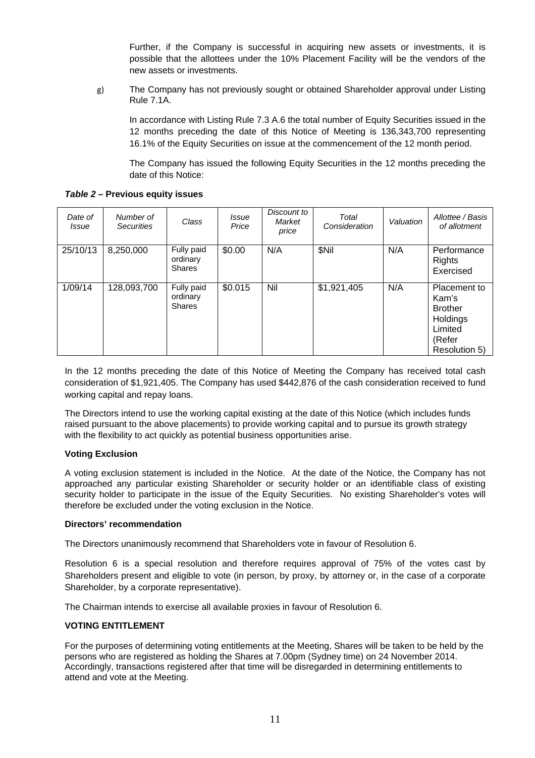Further, if the Company is successful in acquiring new assets or investments, it is possible that the allottees under the 10% Placement Facility will be the vendors of the new assets or investments.

g) The Company has not previously sought or obtained Shareholder approval under Listing Rule 7.1A.

In accordance with Listing Rule 7.3 A.6 the total number of Equity Securities issued in the 12 months preceding the date of this Notice of Meeting is 136,343,700 representing 16.1% of the Equity Securities on issue at the commencement of the 12 month period.

The Company has issued the following Equity Securities in the 12 months preceding the date of this Notice:

*Table 2* **– Previous equity issues** 

| Date of<br><i>Issue</i> | Number of<br><b>Securities</b> | Class                                   | <i>Issue</i><br>Price | Discount to<br>Market<br>price | Total<br>Consideration | Valuation | Allottee / Basis<br>of allotment                                                          |
|-------------------------|--------------------------------|-----------------------------------------|-----------------------|--------------------------------|------------------------|-----------|-------------------------------------------------------------------------------------------|
| 25/10/13                | 8,250,000                      | Fully paid<br>ordinary<br><b>Shares</b> | \$0.00                | N/A                            | \$Nil                  | N/A       | Performance<br><b>Rights</b><br>Exercised                                                 |
| 1/09/14                 | 128,093,700                    | Fully paid<br>ordinary<br><b>Shares</b> | \$0.015               | Nil                            | \$1,921,405            | N/A       | Placement to<br>Kam's<br><b>Brother</b><br>Holdings<br>Limited<br>(Refer<br>Resolution 5) |

In the 12 months preceding the date of this Notice of Meeting the Company has received total cash consideration of \$1,921,405. The Company has used \$442,876 of the cash consideration received to fund working capital and repay loans.

The Directors intend to use the working capital existing at the date of this Notice (which includes funds raised pursuant to the above placements) to provide working capital and to pursue its growth strategy with the flexibility to act quickly as potential business opportunities arise.

## **Voting Exclusion**

A voting exclusion statement is included in the Notice. At the date of the Notice, the Company has not approached any particular existing Shareholder or security holder or an identifiable class of existing security holder to participate in the issue of the Equity Securities. No existing Shareholder's votes will therefore be excluded under the voting exclusion in the Notice.

## **Directors' recommendation**

The Directors unanimously recommend that Shareholders vote in favour of Resolution 6.

Resolution 6 is a special resolution and therefore requires approval of 75% of the votes cast by Shareholders present and eligible to vote (in person, by proxy, by attorney or, in the case of a corporate Shareholder, by a corporate representative).

The Chairman intends to exercise all available proxies in favour of Resolution 6.

## **VOTING ENTITLEMENT**

For the purposes of determining voting entitlements at the Meeting, Shares will be taken to be held by the persons who are registered as holding the Shares at 7.00pm (Sydney time) on 24 November 2014. Accordingly, transactions registered after that time will be disregarded in determining entitlements to attend and vote at the Meeting.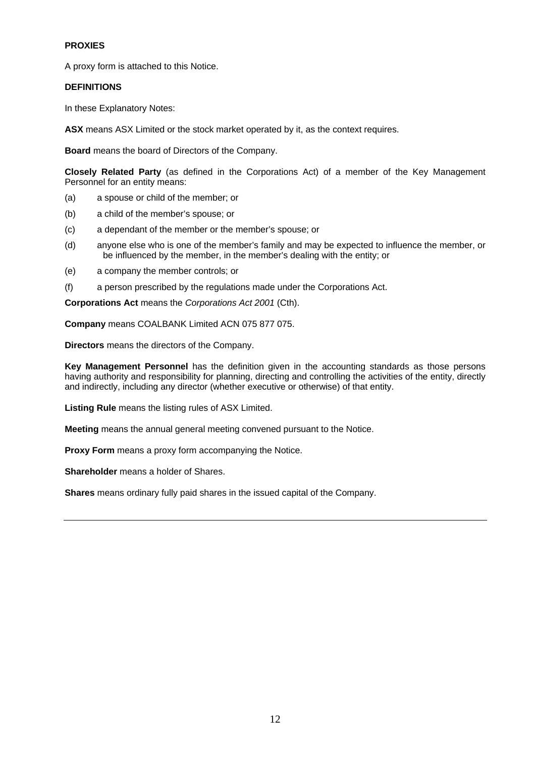# **PROXIES**

A proxy form is attached to this Notice.

# **DEFINITIONS**

In these Explanatory Notes:

**ASX** means ASX Limited or the stock market operated by it, as the context requires.

**Board** means the board of Directors of the Company.

**Closely Related Party** (as defined in the Corporations Act) of a member of the Key Management Personnel for an entity means:

- (a) a spouse or child of the member; or
- (b) a child of the member's spouse; or
- (c) a dependant of the member or the member's spouse; or
- (d) anyone else who is one of the member's family and may be expected to influence the member, or be influenced by the member, in the member's dealing with the entity; or
- (e) a company the member controls; or
- (f) a person prescribed by the regulations made under the Corporations Act.

**Corporations Act** means the *Corporations Act 2001* (Cth).

**Company** means COALBANK Limited ACN 075 877 075.

**Directors** means the directors of the Company.

**Key Management Personnel** has the definition given in the accounting standards as those persons having authority and responsibility for planning, directing and controlling the activities of the entity, directly and indirectly, including any director (whether executive or otherwise) of that entity.

**Listing Rule** means the listing rules of ASX Limited.

**Meeting** means the annual general meeting convened pursuant to the Notice.

**Proxy Form** means a proxy form accompanying the Notice.

**Shareholder** means a holder of Shares.

**Shares** means ordinary fully paid shares in the issued capital of the Company.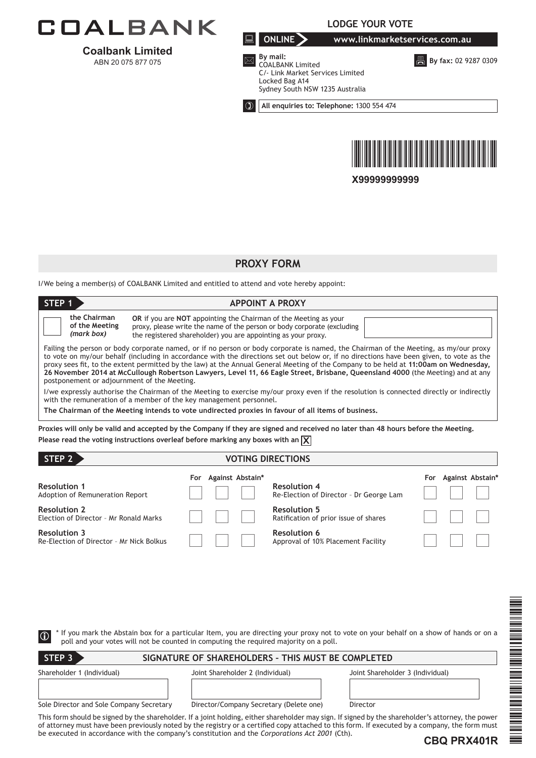

**Coalbank Limited**  ABN 20 075 877 075

**LODGE YOUR VOTE**



**B** By fax: 02 9287 0309



 $\overline{\mathbf{z}}$  By mail: COALBANK Limited C/- Link Market Services Limited Locked Bag A14 Sydney South NSW 1235 Australia

**All enquiries to: Telephone:** 1300 554 474



**X99999999999**

# **PROXY FORM**

I/We being a member(s) of COALBANK Limited and entitled to attend and vote hereby appoint:

| STEP <sub>1</sub>                                                                                                                                                                                                                                                                                                                                                                                                                                                                                                                                                                                          | <b>APPOINT A PROXY</b>                                                                                                                                                                                                     |  |  |  |  |
|------------------------------------------------------------------------------------------------------------------------------------------------------------------------------------------------------------------------------------------------------------------------------------------------------------------------------------------------------------------------------------------------------------------------------------------------------------------------------------------------------------------------------------------------------------------------------------------------------------|----------------------------------------------------------------------------------------------------------------------------------------------------------------------------------------------------------------------------|--|--|--|--|
| the Chairman<br>of the Meeting<br>(mark box)                                                                                                                                                                                                                                                                                                                                                                                                                                                                                                                                                               | <b>OR</b> if you are <b>NOT</b> appointing the Chairman of the Meeting as your<br>proxy, please write the name of the person or body corporate (excluding<br>the registered shareholder) you are appointing as your proxy. |  |  |  |  |
| Failing the person or body corporate named, or if no person or body corporate is named, the Chairman of the Meeting, as my/our proxy<br>to vote on my/our behalf (including in accordance with the directions set out below or, if no directions have been given, to vote as the<br>proxy sees fit, to the extent permitted by the law) at the Annual General Meeting of the Company to be held at 11:00am on Wednesday,<br>26 November 2014 at McCullough Robertson Lawyers, Level 11, 66 Eagle Street, Brisbane, Queensland 4000 (the Meeting) and at any<br>postponement or adjournment of the Meeting. |                                                                                                                                                                                                                            |  |  |  |  |
| I/we expressly authorise the Chairman of the Meeting to exercise my/our proxy even if the resolution is connected directly or indirectly<br>with the remuneration of a member of the key management personnel.                                                                                                                                                                                                                                                                                                                                                                                             |                                                                                                                                                                                                                            |  |  |  |  |
| The Chairman of the Meeting intends to vote undirected proxies in favour of all items of business,                                                                                                                                                                                                                                                                                                                                                                                                                                                                                                         |                                                                                                                                                                                                                            |  |  |  |  |
| Proxies will only be valid and accepted by the Company if they are signed and received no later than 48 hours before the Meeting.<br>Please read the voting instructions overleaf before marking any boxes with an $\chi$                                                                                                                                                                                                                                                                                                                                                                                  |                                                                                                                                                                                                                            |  |  |  |  |

| STEP <sub>2</sub>                                               | <b>VOTING DIRECTIONS</b>                       |                                                                    |
|-----------------------------------------------------------------|------------------------------------------------|--------------------------------------------------------------------|
| <b>Resolution 1</b><br>Adoption of Remuneration Report          | Against Abstain*<br>For<br><b>Resolution 4</b> | Against Abstain*<br>For<br>Re-Election of Director - Dr George Lam |
| <b>Resolution 2</b><br>Election of Director - Mr Ronald Marks   | <b>Resolution 5</b>                            | Ratification of prior issue of shares                              |
| <b>Resolution 3</b><br>Re-Election of Director - Mr Nick Bolkus | <b>Resolution 6</b>                            | Approval of 10% Placement Facility                                 |

| $\circ$                                  | poll and your votes will not be counted in computing the required majority on a poll.          | THE CONFERENCE<br>If you mark the Abstain box for a particular Item, you are directing your proxy not to vote on your behalf on a show of hands or on a                                                                                                                                              |
|------------------------------------------|------------------------------------------------------------------------------------------------|------------------------------------------------------------------------------------------------------------------------------------------------------------------------------------------------------------------------------------------------------------------------------------------------------|
| STEP <sub>3</sub>                        | SIGNATURE OF SHAREHOLDERS - THIS MUST BE COMPLETED                                             |                                                                                                                                                                                                                                                                                                      |
| Shareholder 1 (Individual)               | Joint Shareholder 2 (Individual)                                                               | Joint Shareholder 3 (Individual)                                                                                                                                                                                                                                                                     |
| Sole Director and Sole Company Secretary | Director/Company Secretary (Delete one)                                                        | Director                                                                                                                                                                                                                                                                                             |
|                                          | be executed in accordance with the company's constitution and the Corporations Act 2001 (Cth). | This form should be signed by the shareholder. If a joint holding, either shareholder may sign. If signed by the shareholder's attorney, the power<br>of attorney must have been previously noted by the registry or a certified copy attached to this form. If executed by a company, the form must |
|                                          |                                                                                                | CBO PRX401R                                                                                                                                                                                                                                                                                          |